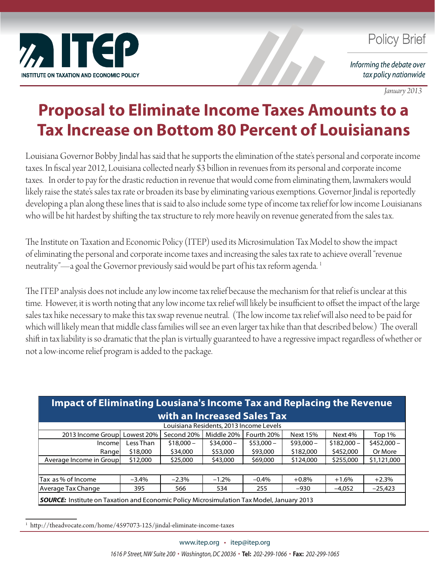

## **Policy Brief**

Informing the debate over tax policy nationwide

*January 2013*

## **Proposal to Eliminate Income Taxes Amounts to a Tax Increase on Bottom 80 Percent of Louisianans**

Louisiana Governor Bobby Jindal has said that he supports the elimination of the state's personal and corporate income taxes. In fiscal year 2012, Louisiana collected nearly \$3 billion in revenues from its personal and corporate income taxes. In order to pay for the drastic reduction in revenue that would come from eliminating them, lawmakers would likely raise the state's sales tax rate or broaden its base by eliminating various exemptions. Governor Jindal is reportedly developing a plan along these lines that is said to also include some type of income tax relief for low income Louisianans who will be hit hardest by shifting the tax structure to rely more heavily on revenue generated from the sales tax.

The Institute on Taxation and Economic Policy (ITEP) used its Microsimulation Tax Model to show the impact of eliminating the personal and corporate income taxes and increasing the sales tax rate to achieve overall "revenue neutrality"—a goal the Governor previously said would be part of his tax reform agenda.<sup>1</sup>

The ITEP analysis does not include any low income tax relief because the mechanism for that relief is unclear at this time. However, it is worth noting that any low income tax relief will likely be insufficient to offset the impact of the large sales tax hike necessary to make this tax swap revenue neutral. (The low income tax relief will also need to be paid for which will likely mean that middle class families will see an even larger tax hike than that described below.) The overall shift in tax liability is so dramatic that the plan is virtually guaranteed to have a regressive impact regardless of whether or not a low-income relief program is added to the package.

| Impact of Eliminating Lousiana's Income Tax and Replacing the Revenue                            |            |            |            |            |                 |             |             |
|--------------------------------------------------------------------------------------------------|------------|------------|------------|------------|-----------------|-------------|-------------|
| with an Increased Sales Tax                                                                      |            |            |            |            |                 |             |             |
| Louisiana Residents, 2013 Income Levels                                                          |            |            |            |            |                 |             |             |
| 2013 Income Group                                                                                | Lowest 20% | Second 20% | Middle 20% | Fourth 20% | <b>Next 15%</b> | Next 4%     | Top 1%      |
| Incomel                                                                                          | Less Than  | $$18,000-$ | $$34,000-$ | $$53,000-$ | $$93,000-$      | $$182,000-$ | $$452,000-$ |
| Rangel                                                                                           | \$18,000   | \$34,000   | \$53,000   | \$93,000   | \$182,000       | \$452,000   | Or More     |
| Average Income in Group                                                                          | \$12,000   | \$25,000   | \$43,000   | \$69,000   | \$124,000       | \$255,000   | \$1,121,000 |
|                                                                                                  |            |            |            |            |                 |             |             |
| Tax as % of Income                                                                               | $-3.4%$    | $-2.3%$    | $-1.2%$    | $-0.4%$    | $+0.8%$         | $+1.6%$     | $+2.3%$     |
| Average Tax Change                                                                               | 395        | 566        | 534        | 255        | $-930$          | $-4,052$    | $-25,423$   |
| <b>SOURCE:</b> Institute on Taxation and Economic Policy Microsimulation Tax Model, January 2013 |            |            |            |            |                 |             |             |

<sup>1</sup> http://theadvocate.com/home/4597073-125/jindal-eliminate-income-taxes